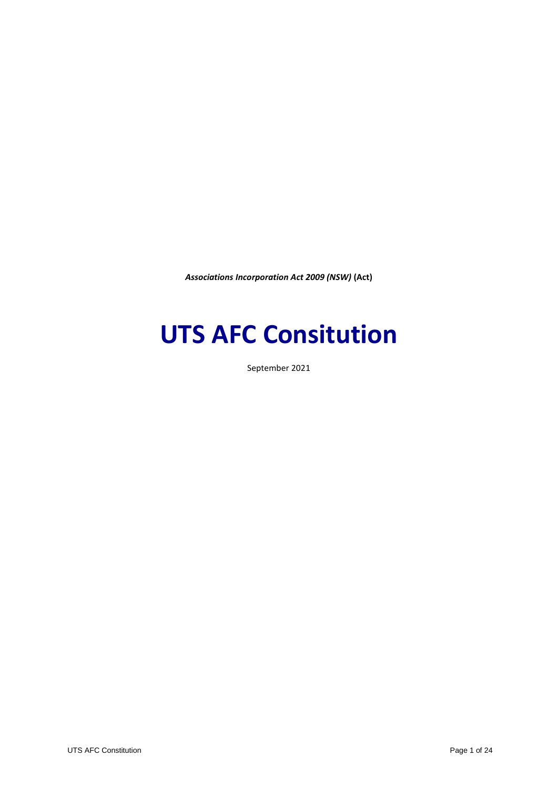*Associations Incorporation Act 2009 (NSW)* **(Act)**

# **UTS AFC Consitution**

September 2021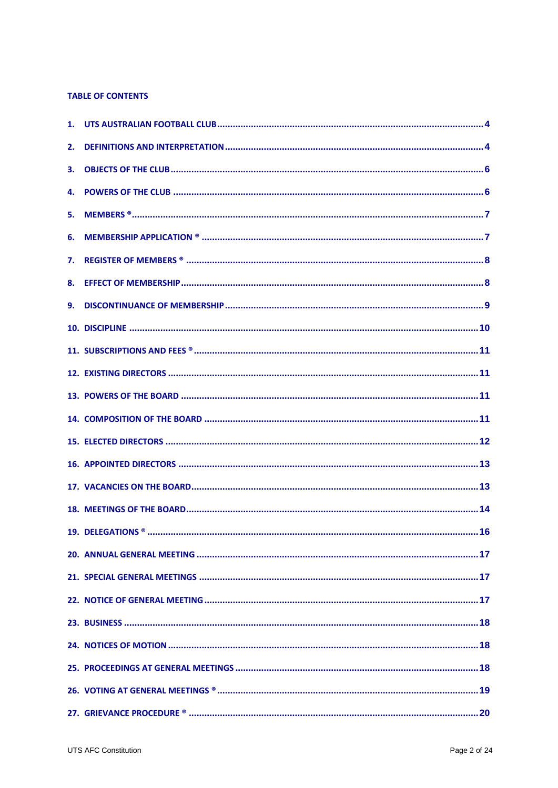# **TABLE OF CONTENTS**

| 3. |  |
|----|--|
|    |  |
|    |  |
|    |  |
|    |  |
|    |  |
|    |  |
|    |  |
|    |  |
|    |  |
|    |  |
|    |  |
|    |  |
|    |  |
|    |  |
|    |  |
|    |  |
|    |  |
|    |  |
|    |  |
|    |  |
|    |  |
|    |  |
|    |  |
|    |  |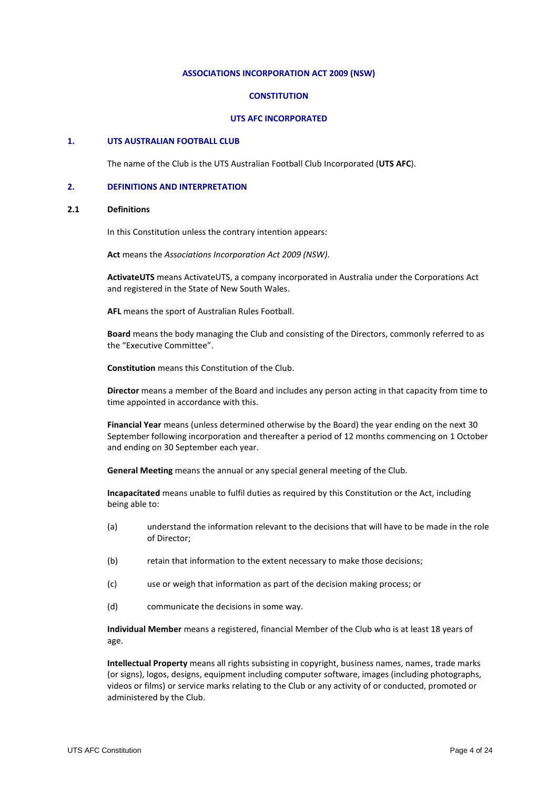#### **ASSOCIATIONS INCORPORATION ACT 2009 (NSW)**

#### **CONSTITUTION**

#### **UTS AFC INCORPORATED**

#### **1. UTS AUSTRALIAN FOOTBALL CLUB**

The name of the Club is the UTS Australian Football Club Incorporated (**UTS AFC**).

#### **2. DEFINITIONS AND INTERPRETATION**

#### **2.1 Definitions**

In this Constitution unless the contrary intention appears:

**Act** means the *Associations Incorporation Act 2009 (NSW)*.

**ActivateUTS** means ActivateUTS, a company incorporated in Australia under the Corporations Act and registered in the State of New South Wales.

**AFL** means the sport of Australian Rules Football.

**Board** means the body managing the Club and consisting of the Directors, commonly referred to as the "Executive Committee".

**Constitution** means this Constitution of the Club.

**Director** means a member of the Board and includes any person acting in that capacity from time to time appointed in accordance with this.

**Financial Year** means (unless determined otherwise by the Board) the year ending on the next 30 September following incorporation and thereafter a period of 12 months commencing on 1 October and ending on 30 September each year.

**General Meeting** means the annual or any special general meeting of the Club.

**Incapacitated** means unable to fulfil duties as required by this Constitution or the Act, including being able to:

- (a) understand the information relevant to the decisions that will have to be made in the role of Director;
- (b) retain that information to the extent necessary to make those decisions;
- (c) use or weigh that information as part of the decision making process; or
- (d) communicate the decisions in some way.

**Individual Member** means a registered, financial Member of the Club who is at least 18 years of age.

**Intellectual Property** means all rights subsisting in copyright, business names, names, trade marks (or signs), logos, designs, equipment including computer software, images (including photographs, videos or films) or service marks relating to the Club or any activity of or conducted, promoted or administered by the Club.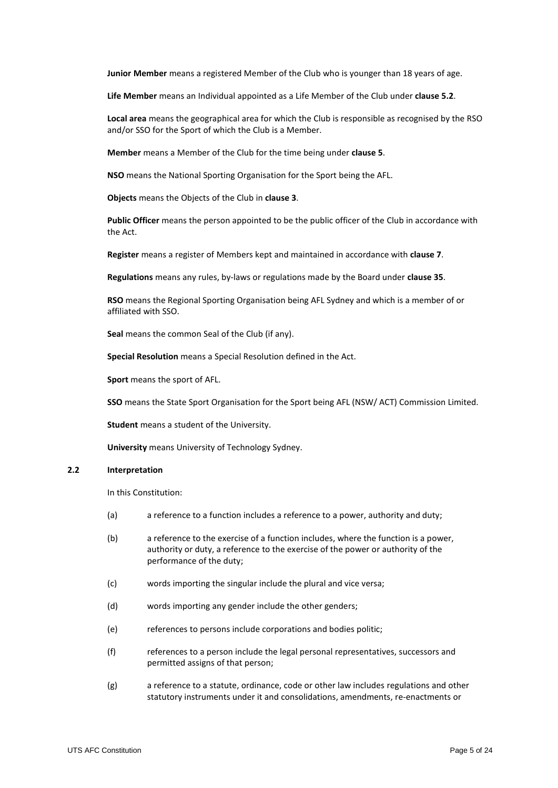**Junior Member** means a registered Member of the Club who is younger than 18 years of age.

**Life Member** means an Individual appointed as a Life Member of the Club under **clause [5.2](#page-6-0)**.

**Local area** means the geographical area for which the Club is responsible as recognised by the RSO and/or SSO for the Sport of which the Club is a Member.

**Member** means a Member of the Club for the time being under **clause 5**.

**NSO** means the National Sporting Organisation for the Sport being the AFL.

**Objects** means the Objects of the Club in **clause 3**.

**Public Officer** means the person appointed to be the public officer of the Club in accordance with the Act.

**Register** means a register of Members kept and maintained in accordance with **clause [7](#page-7-0)**.

**Regulations** means any rules, by-laws or regulations made by the Board under **clause 35**.

**RSO** means the Regional Sporting Organisation being AFL Sydney and which is a member of or affiliated with SSO.

**Seal** means the common Seal of the Club (if any).

**Special Resolution** means a Special Resolution defined in the Act.

**Sport** means the sport of AFL.

**SSO** means the State Sport Organisation for the Sport being AFL (NSW/ ACT) Commission Limited.

**Student** means a student of the University.

**University** means University of Technology Sydney.

#### **2.2 Interpretation**

In this Constitution:

- (a) a reference to a function includes a reference to a power, authority and duty;
- (b) a reference to the exercise of a function includes, where the function is a power, authority or duty, a reference to the exercise of the power or authority of the performance of the duty;
- (c) words importing the singular include the plural and vice versa;
- (d) words importing any gender include the other genders;
- (e) references to persons include corporations and bodies politic;
- (f) references to a person include the legal personal representatives, successors and permitted assigns of that person;
- (g) a reference to a statute, ordinance, code or other law includes regulations and other statutory instruments under it and consolidations, amendments, re-enactments or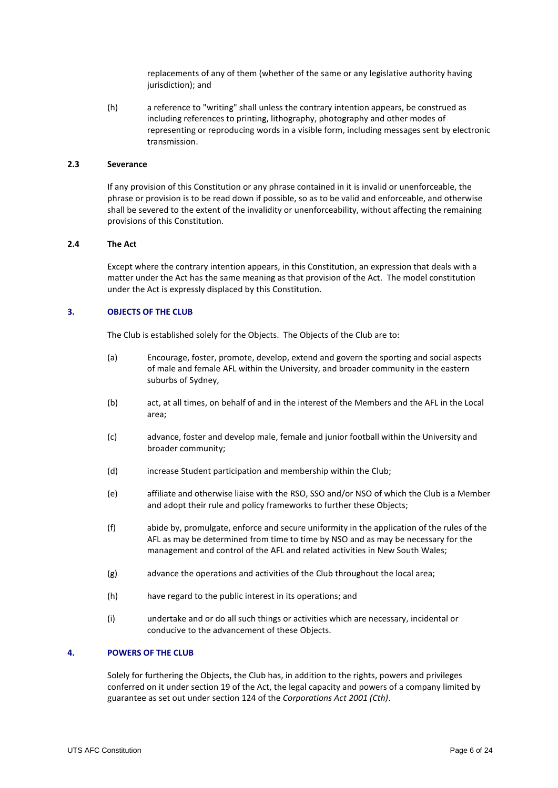replacements of any of them (whether of the same or any legislative authority having jurisdiction); and

(h) a reference to "writing" shall unless the contrary intention appears, be construed as including references to printing, lithography, photography and other modes of representing or reproducing words in a visible form, including messages sent by electronic transmission.

# **2.3 Severance**

If any provision of this Constitution or any phrase contained in it is invalid or unenforceable, the phrase or provision is to be read down if possible, so as to be valid and enforceable, and otherwise shall be severed to the extent of the invalidity or unenforceability, without affecting the remaining provisions of this Constitution.

#### **2.4 The Act**

Except where the contrary intention appears, in this Constitution, an expression that deals with a matter under the Act has the same meaning as that provision of the Act. The model constitution under the Act is expressly displaced by this Constitution.

#### **3. OBJECTS OF THE CLUB**

The Club is established solely for the Objects. The Objects of the Club are to:

- (a) Encourage, foster, promote, develop, extend and govern the sporting and social aspects of male and female AFL within the University, and broader community in the eastern suburbs of Sydney,
- (b) act, at all times, on behalf of and in the interest of the Members and the AFL in the Local area;
- (c) advance, foster and develop male, female and junior football within the University and broader community;
- (d) increase Student participation and membership within the Club;
- (e) affiliate and otherwise liaise with the RSO, SSO and/or NSO of which the Club is a Member and adopt their rule and policy frameworks to further these Objects;
- (f) abide by, promulgate, enforce and secure uniformity in the application of the rules of the AFL as may be determined from time to time by NSO and as may be necessary for the management and control of the AFL and related activities in New South Wales;
- (g) advance the operations and activities of the Club throughout the local area;
- (h) have regard to the public interest in its operations; and
- (i) undertake and or do all such things or activities which are necessary, incidental or conducive to the advancement of these Objects.

## **4. POWERS OF THE CLUB**

Solely for furthering the Objects, the Club has, in addition to the rights, powers and privileges conferred on it under section 19 of the Act, the legal capacity and powers of a company limited by guarantee as set out under section 124 of the *Corporations Act 2001 (Cth)*.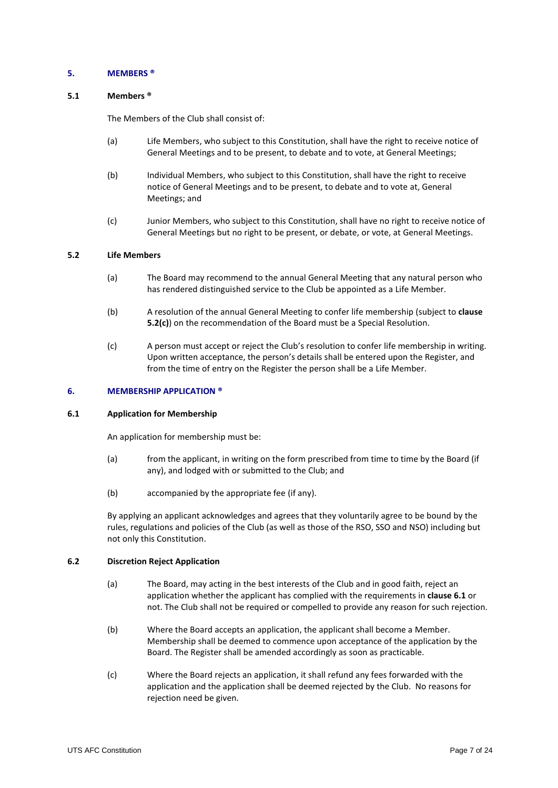#### **5. MEMBERS ®**

## <span id="page-6-2"></span>**5.1 Members ®**

The Members of the Club shall consist of:

- (a) Life Members, who subject to this Constitution, shall have the right to receive notice of General Meetings and to be present, to debate and to vote, at General Meetings;
- (b) Individual Members, who subject to this Constitution, shall have the right to receive notice of General Meetings and to be present, to debate and to vote at, General Meetings; and
- (c) Junior Members, who subject to this Constitution, shall have no right to receive notice of General Meetings but no right to be present, or debate, or vote, at General Meetings.

## <span id="page-6-0"></span>**5.2 Life Members**

- (a) The Board may recommend to the annual General Meeting that any natural person who has rendered distinguished service to the Club be appointed as a Life Member.
- (b) A resolution of the annual General Meeting to confer life membership (subject to **clause [5.2\(](#page-6-0)c)**) on the recommendation of the Board must be a Special Resolution.
- (c) A person must accept or reject the Club's resolution to confer life membership in writing. Upon written acceptance, the person's details shall be entered upon the Register, and from the time of entry on the Register the person shall be a Life Member.

#### **6. MEMBERSHIP APPLICATION ®**

# <span id="page-6-1"></span>**6.1 Application for Membership**

An application for membership must be:

- (a) from the applicant, in writing on the form prescribed from time to time by the Board (if any), and lodged with or submitted to the Club; and
- (b) accompanied by the appropriate fee (if any).

By applying an applicant acknowledges and agrees that they voluntarily agree to be bound by the rules, regulations and policies of the Club (as well as those of the RSO, SSO and NSO) including but not only this Constitution.

#### **6.2 Discretion Reject Application**

- (a) The Board, may acting in the best interests of the Club and in good faith, reject an application whether the applicant has complied with the requirements in **claus[e 6.1](#page-6-1)** or not. The Club shall not be required or compelled to provide any reason for such rejection.
- (b) Where the Board accepts an application, the applicant shall become a Member. Membership shall be deemed to commence upon acceptance of the application by the Board. The Register shall be amended accordingly as soon as practicable.
- (c) Where the Board rejects an application, it shall refund any fees forwarded with the application and the application shall be deemed rejected by the Club. No reasons for rejection need be given.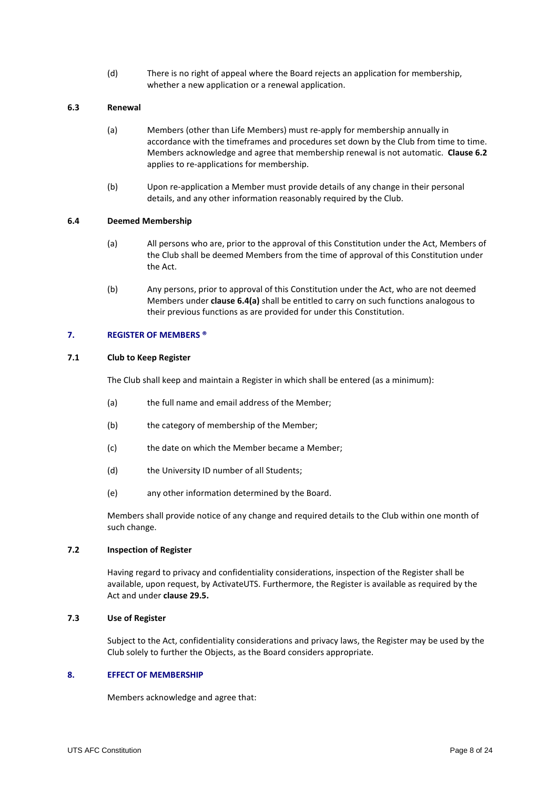(d) There is no right of appeal where the Board rejects an application for membership, whether a new application or a renewal application.

## **6.3 Renewal**

- (a) Members (other than Life Members) must re-apply for membership annually in accordance with the timeframes and procedures set down by the Club from time to time. Members acknowledge and agree that membership renewal is not automatic. **Clause 6.2** applies to re-applications for membership.
- (b) Upon re-application a Member must provide details of any change in their personal details, and any other information reasonably required by the Club.

## <span id="page-7-2"></span><span id="page-7-1"></span>**6.4 Deemed Membership**

- (a) All persons who are, prior to the approval of this Constitution under the Act, Members of the Club shall be deemed Members from the time of approval of this Constitution under the Act.
- (b) Any persons, prior to approval of this Constitution under the Act, who are not deemed Members under **clause [6.4](#page-7-1)[\(a\)](#page-7-2)** shall be entitled to carry on such functions analogous to their previous functions as are provided for under this Constitution.

#### <span id="page-7-0"></span>**7. REGISTER OF MEMBERS ®**

# **7.1 Club to Keep Register**

The Club shall keep and maintain a Register in which shall be entered (as a minimum):

- (a) the full name and email address of the Member;
- (b) the category of membership of the Member;
- (c) the date on which the Member became a Member;
- (d) the University ID number of all Students;
- (e) any other information determined by the Board.

Members shall provide notice of any change and required details to the Club within one month of such change.

# **7.2 Inspection of Register**

Having regard to privacy and confidentiality considerations, inspection of the Register shall be available, upon request, by ActivateUTS. Furthermore, the Register is available as required by the Act and under **clause 29.5.**

#### **7.3 Use of Register**

Subject to the Act, confidentiality considerations and privacy laws, the Register may be used by the Club solely to further the Objects, as the Board considers appropriate.

#### **8. EFFECT OF MEMBERSHIP**

Members acknowledge and agree that: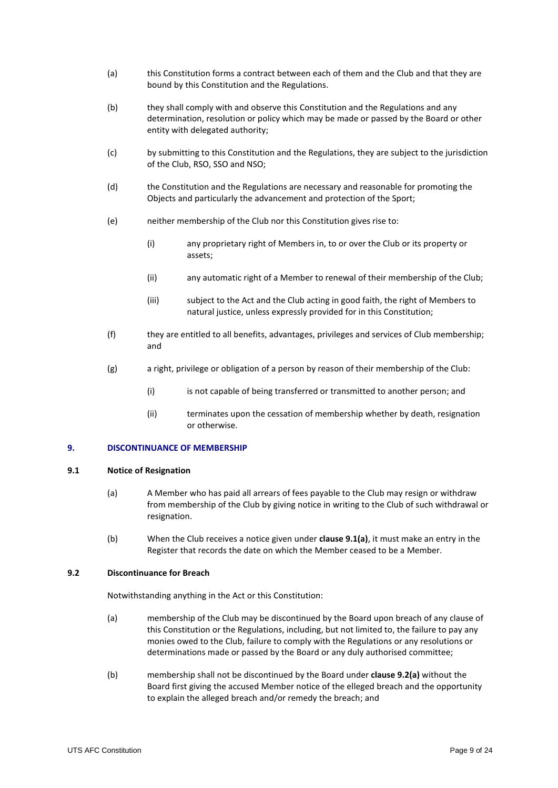- (a) this Constitution forms a contract between each of them and the Club and that they are bound by this Constitution and the Regulations.
- (b) they shall comply with and observe this Constitution and the Regulations and any determination, resolution or policy which may be made or passed by the Board or other entity with delegated authority;
- (c) by submitting to this Constitution and the Regulations, they are subject to the jurisdiction of the Club, RSO, SSO and NSO;
- (d) the Constitution and the Regulations are necessary and reasonable for promoting the Objects and particularly the advancement and protection of the Sport;
- (e) neither membership of the Club nor this Constitution gives rise to:
	- (i) any proprietary right of Members in, to or over the Club or its property or assets;
	- (ii) any automatic right of a Member to renewal of their membership of the Club;
	- (iii) subject to the Act and the Club acting in good faith, the right of Members to natural justice, unless expressly provided for in this Constitution;
- (f) they are entitled to all benefits, advantages, privileges and services of Club membership; and
- (g) a right, privilege or obligation of a person by reason of their membership of the Club:
	- (i) is not capable of being transferred or transmitted to another person; and
	- (ii) terminates upon the cessation of membership whether by death, resignation or otherwise.

# <span id="page-8-4"></span>**9. DISCONTINUANCE OF MEMBERSHIP**

#### <span id="page-8-1"></span><span id="page-8-0"></span>**9.1 Notice of Resignation**

- (a) A Member who has paid all arrears of fees payable to the Club may resign or withdraw from membership of the Club by giving notice in writing to the Club of such withdrawal or resignation.
- (b) When the Club receives a notice given under **clause [9.1](#page-8-0)[\(a\)](#page-8-1)**, it must make an entry in the Register that records the date on which the Member ceased to be a Member.

#### <span id="page-8-2"></span>**9.2 Discontinuance for Breach**

Notwithstanding anything in the Act or this Constitution:

- <span id="page-8-3"></span>(a) membership of the Club may be discontinued by the Board upon breach of any clause of this Constitution or the Regulations, including, but not limited to, the failure to pay any monies owed to the Club, failure to comply with the Regulations or any resolutions or determinations made or passed by the Board or any duly authorised committee;
- (b) membership shall not be discontinued by the Board under **clause [9.2](#page-8-2)[\(a\)](#page-8-3)** without the Board first giving the accused Member notice of the elleged breach and the opportunity to explain the alleged breach and/or remedy the breach; and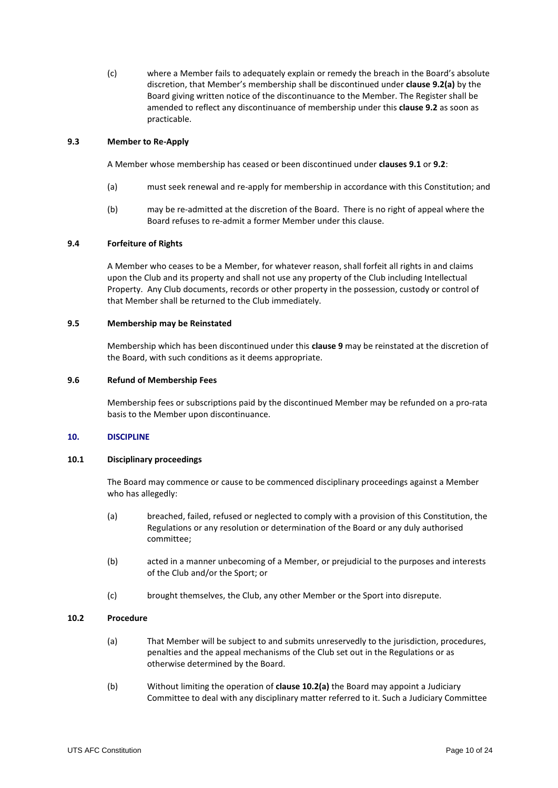(c) where a Member fails to adequately explain or remedy the breach in the Board's absolute discretion, that Member's membership shall be discontinued under **claus[e 9.2](#page-8-2)[\(a\)](#page-8-3)** by the Board giving written notice of the discontinuance to the Member. The Register shall be amended to reflect any discontinuance of membership under this **clause 9.2** as soon as practicable.

## **9.3 Member to Re-Apply**

A Member whose membership has ceased or been discontinued under **clause[s 9.1](#page-8-0)** or **[9.2](#page-8-2)**:

- (a) must seek renewal and re-apply for membership in accordance with this Constitution; and
- (b) may be re-admitted at the discretion of the Board. There is no right of appeal where the Board refuses to re-admit a former Member under this clause.

## **9.4 Forfeiture of Rights**

A Member who ceases to be a Member, for whatever reason, shall forfeit all rights in and claims upon the Club and its property and shall not use any property of the Club including Intellectual Property. Any Club documents, records or other property in the possession, custody or control of that Member shall be returned to the Club immediately.

## **9.5 Membership may be Reinstated**

Membership which has been discontinued under this **clause [9](#page-8-4)** may be reinstated at the discretion of the Board, with such conditions as it deems appropriate.

#### **9.6 Refund of Membership Fees**

Membership fees or subscriptions paid by the discontinued Member may be refunded on a pro-rata basis to the Member upon discontinuance.

#### **10. DISCIPLINE**

#### **10.1 Disciplinary proceedings**

The Board may commence or cause to be commenced disciplinary proceedings against a Member who has allegedly:

- (a) breached, failed, refused or neglected to comply with a provision of this Constitution, the Regulations or any resolution or determination of the Board or any duly authorised committee;
- (b) acted in a manner unbecoming of a Member, or prejudicial to the purposes and interests of the Club and/or the Sport; or
- (c) brought themselves, the Club, any other Member or the Sport into disrepute.

## **10.2 Procedure**

- (a) That Member will be subject to and submits unreservedly to the jurisdiction, procedures, penalties and the appeal mechanisms of the Club set out in the Regulations or as otherwise determined by the Board.
- (b) Without limiting the operation of **clause 10.2(a)** the Board may appoint a Judiciary Committee to deal with any disciplinary matter referred to it. Such a Judiciary Committee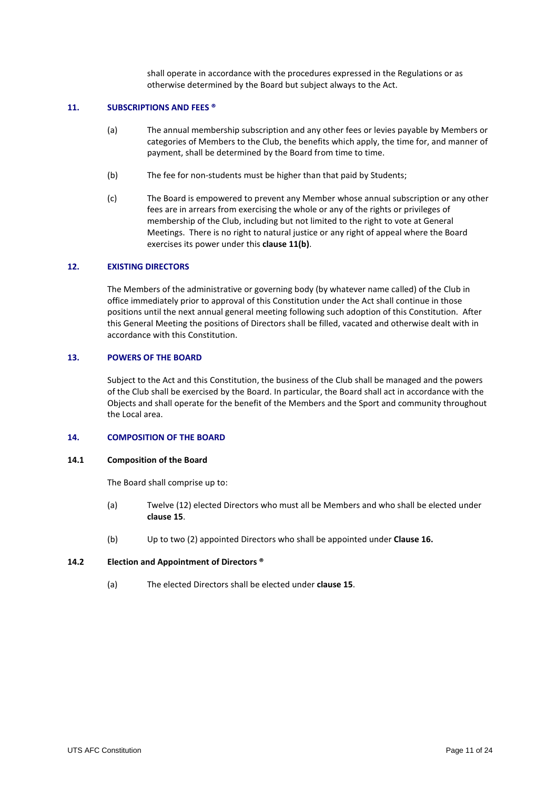shall operate in accordance with the procedures expressed in the Regulations or as otherwise determined by the Board but subject always to the Act.

#### **11. SUBSCRIPTIONS AND FEES ®**

- (a) The annual membership subscription and any other fees or levies payable by Members or categories of Members to the Club, the benefits which apply, the time for, and manner of payment, shall be determined by the Board from time to time.
- (b) The fee for non-students must be higher than that paid by Students;
- (c) The Board is empowered to prevent any Member whose annual subscription or any other fees are in arrears from exercising the whole or any of the rights or privileges of membership of the Club, including but not limited to the right to vote at General Meetings. There is no right to natural justice or any right of appeal where the Board exercises its power under this **clause 11(b)**.

#### **12. EXISTING DIRECTORS**

The Members of the administrative or governing body (by whatever name called) of the Club in office immediately prior to approval of this Constitution under the Act shall continue in those positions until the next annual general meeting following such adoption of this Constitution. After this General Meeting the positions of Directors shall be filled, vacated and otherwise dealt with in accordance with this Constitution.

#### **13. POWERS OF THE BOARD**

Subject to the Act and this Constitution, the business of the Club shall be managed and the powers of the Club shall be exercised by the Board. In particular, the Board shall act in accordance with the Objects and shall operate for the benefit of the Members and the Sport and community throughout the Local area.

#### **14. COMPOSITION OF THE BOARD**

#### **14.1 Composition of the Board**

The Board shall comprise up to:

- (a) Twelve (12) elected Directors who must all be Members and who shall be elected under **clause [15](#page-11-0)**.
- (b) Up to two (2) appointed Directors who shall be appointed under **Clause 16.**

#### **14.2 Election and Appointment of Directors ®**

(a) The elected Directors shall be elected under **claus[e 15](#page-11-0)**.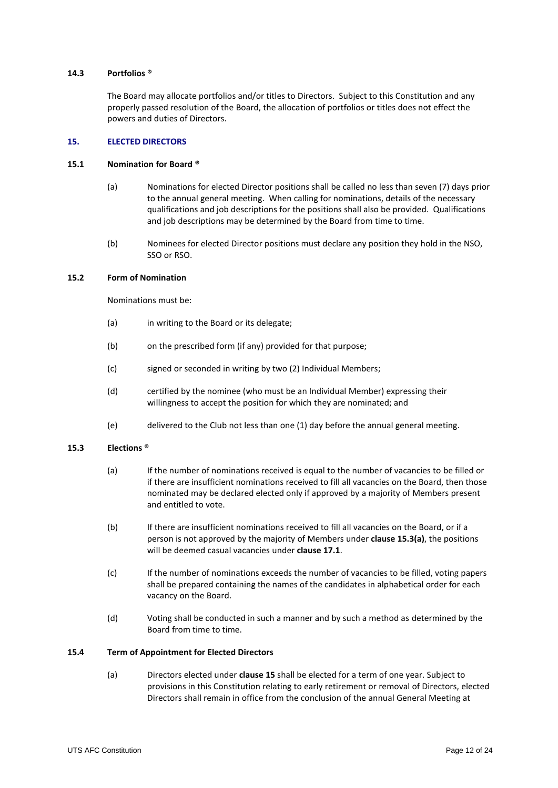## **14.3 Portfolios ®**

The Board may allocate portfolios and/or titles to Directors. Subject to this Constitution and any properly passed resolution of the Board, the allocation of portfolios or titles does not effect the powers and duties of Directors.

# <span id="page-11-0"></span>**15. ELECTED DIRECTORS**

#### **15.1 Nomination for Board ®**

- (a) Nominations for elected Director positions shall be called no less than seven (7) days prior to the annual general meeting. When calling for nominations, details of the necessary qualifications and job descriptions for the positions shall also be provided. Qualifications and job descriptions may be determined by the Board from time to time.
- (b) Nominees for elected Director positions must declare any position they hold in the NSO, SSO or RSO.

## **15.2 Form of Nomination**

Nominations must be:

- (a) in writing to the Board or its delegate;
- (b) on the prescribed form (if any) provided for that purpose;
- (c) signed or seconded in writing by two (2) Individual Members;
- (d) certified by the nominee (who must be an Individual Member) expressing their willingness to accept the position for which they are nominated; and
- (e) delivered to the Club not less than one (1) day before the annual general meeting.

# <span id="page-11-2"></span><span id="page-11-1"></span>**15.3 Elections ®**

- (a) If the number of nominations received is equal to the number of vacancies to be filled or if there are insufficient nominations received to fill all vacancies on the Board, then those nominated may be declared elected only if approved by a majority of Members present and entitled to vote.
- (b) If there are insufficient nominations received to fill all vacancies on the Board, or if a person is not approved by the majority of Members under **clause [15.3](#page-11-1)[\(a\)](#page-11-2)**, the positions will be deemed casual vacancies under **clause [17.1](#page-12-0)**.
- (c) If the number of nominations exceeds the number of vacancies to be filled, voting papers shall be prepared containing the names of the candidates in alphabetical order for each vacancy on the Board.
- (d) Voting shall be conducted in such a manner and by such a method as determined by the Board from time to time.

# **15.4 Term of Appointment for Elected Directors**

(a) Directors elected under **claus[e 15](#page-11-0)** shall be elected for a term of one year. Subject to provisions in this Constitution relating to early retirement or removal of Directors, elected Directors shall remain in office from the conclusion of the annual General Meeting at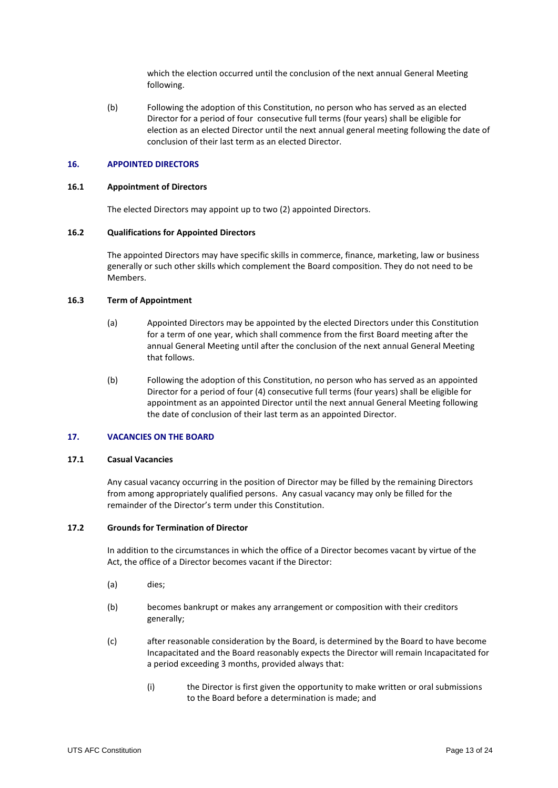which the election occurred until the conclusion of the next annual General Meeting following.

(b) Following the adoption of this Constitution, no person who has served as an elected Director for a period of four consecutive full terms (four years) shall be eligible for election as an elected Director until the next annual general meeting following the date of conclusion of their last term as an elected Director.

#### **16. APPOINTED DIRECTORS**

#### **16.1 Appointment of Directors**

The elected Directors may appoint up to two (2) appointed Directors.

#### **16.2 Qualifications for Appointed Directors**

The appointed Directors may have specific skills in commerce, finance, marketing, law or business generally or such other skills which complement the Board composition. They do not need to be Members.

#### **16.3 Term of Appointment**

- (a) Appointed Directors may be appointed by the elected Directors under this Constitution for a term of one year, which shall commence from the first Board meeting after the annual General Meeting until after the conclusion of the next annual General Meeting that follows.
- (b) Following the adoption of this Constitution, no person who has served as an appointed Director for a period of four (4) consecutive full terms (four years) shall be eligible for appointment as an appointed Director until the next annual General Meeting following the date of conclusion of their last term as an appointed Director.

# **17. VACANCIES ON THE BOARD**

#### <span id="page-12-0"></span>**17.1 Casual Vacancies**

Any casual vacancy occurring in the position of Director may be filled by the remaining Directors from among appropriately qualified persons. Any casual vacancy may only be filled for the remainder of the Director's term under this Constitution.

# **17.2 Grounds for Termination of Director**

In addition to the circumstances in which the office of a Director becomes vacant by virtue of the Act, the office of a Director becomes vacant if the Director:

- (a) dies;
- (b) becomes bankrupt or makes any arrangement or composition with their creditors generally;
- (c) after reasonable consideration by the Board, is determined by the Board to have become Incapacitated and the Board reasonably expects the Director will remain Incapacitated for a period exceeding 3 months, provided always that:
	- (i) the Director is first given the opportunity to make written or oral submissions to the Board before a determination is made; and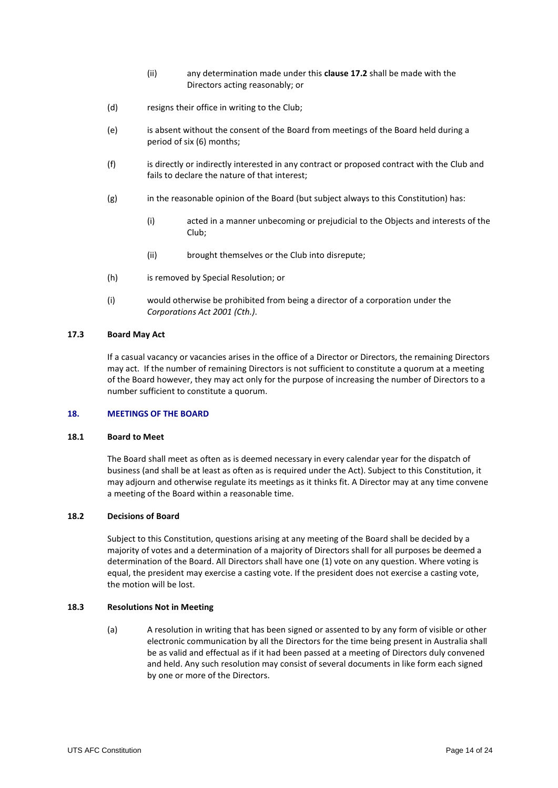- (ii) any determination made under this **clause 17.2** shall be made with the Directors acting reasonably; or
- (d) resigns their office in writing to the Club;
- (e) is absent without the consent of the Board from meetings of the Board held during a period of six (6) months;
- (f) is directly or indirectly interested in any contract or proposed contract with the Club and fails to declare the nature of that interest;
- (g) in the reasonable opinion of the Board (but subject always to this Constitution) has:
	- (i) acted in a manner unbecoming or prejudicial to the Objects and interests of the Club;
	- (ii) brought themselves or the Club into disrepute;
- (h) is removed by Special Resolution; or
- (i) would otherwise be prohibited from being a director of a corporation under the *Corporations Act 2001 (Cth.)*.

## **17.3 Board May Act**

If a casual vacancy or vacancies arises in the office of a Director or Directors, the remaining Directors may act. If the number of remaining Directors is not sufficient to constitute a quorum at a meeting of the Board however, they may act only for the purpose of increasing the number of Directors to a number sufficient to constitute a quorum.

# <span id="page-13-0"></span>**18. MEETINGS OF THE BOARD**

#### **18.1 Board to Meet**

The Board shall meet as often as is deemed necessary in every calendar year for the dispatch of business (and shall be at least as often as is required under the Act). Subject to this Constitution, it may adjourn and otherwise regulate its meetings as it thinks fit. A Director may at any time convene a meeting of the Board within a reasonable time.

#### **18.2 Decisions of Board**

Subject to this Constitution, questions arising at any meeting of the Board shall be decided by a majority of votes and a determination of a majority of Directors shall for all purposes be deemed a determination of the Board. All Directors shall have one (1) vote on any question. Where voting is equal, the president may exercise a casting vote. If the president does not exercise a casting vote, the motion will be lost.

#### **18.3 Resolutions Not in Meeting**

(a) A resolution in writing that has been signed or assented to by any form of visible or other electronic communication by all the Directors for the time being present in Australia shall be as valid and effectual as if it had been passed at a meeting of Directors duly convened and held. Any such resolution may consist of several documents in like form each signed by one or more of the Directors.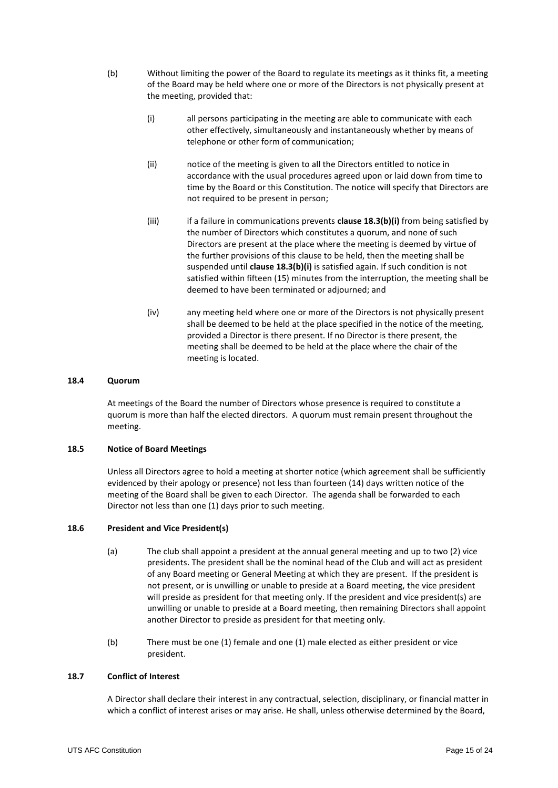- <span id="page-14-1"></span><span id="page-14-0"></span>(b) Without limiting the power of the Board to regulate its meetings as it thinks fit, a meeting of the Board may be held where one or more of the Directors is not physically present at the meeting, provided that:
	- (i) all persons participating in the meeting are able to communicate with each other effectively, simultaneously and instantaneously whether by means of telephone or other form of communication;
	- (ii) notice of the meeting is given to all the Directors entitled to notice in accordance with the usual procedures agreed upon or laid down from time to time by the Board or this Constitution. The notice will specify that Directors are not required to be present in person;
	- (iii) if a failure in communications prevents **clause 18.[3\(b\)](#page-14-0)[\(i\)](#page-14-1)** from being satisfied by the number of Directors which constitutes a quorum, and none of such Directors are present at the place where the meeting is deemed by virtue of the further provisions of this clause to be held, then the meeting shall be suspended until **clause 18.[3\(b\)](#page-14-0)[\(i\)](#page-14-1)** is satisfied again. If such condition is not satisfied within fifteen (15) minutes from the interruption, the meeting shall be deemed to have been terminated or adjourned; and
	- (iv) any meeting held where one or more of the Directors is not physically present shall be deemed to be held at the place specified in the notice of the meeting, provided a Director is there present. If no Director is there present, the meeting shall be deemed to be held at the place where the chair of the meeting is located.

## **18.4 Quorum**

At meetings of the Board the number of Directors whose presence is required to constitute a quorum is more than half the elected directors. A quorum must remain present throughout the meeting.

# **18.5 Notice of Board Meetings**

Unless all Directors agree to hold a meeting at shorter notice (which agreement shall be sufficiently evidenced by their apology or presence) not less than fourteen (14) days written notice of the meeting of the Board shall be given to each Director. The agenda shall be forwarded to each Director not less than one (1) days prior to such meeting.

#### **18.6 President and Vice President(s)**

- (a) The club shall appoint a president at the annual general meeting and up to two (2) vice presidents. The president shall be the nominal head of the Club and will act as president of any Board meeting or General Meeting at which they are present. If the president is not present, or is unwilling or unable to preside at a Board meeting, the vice president will preside as president for that meeting only. If the president and vice president(s) are unwilling or unable to preside at a Board meeting, then remaining Directors shall appoint another Director to preside as president for that meeting only.
- (b) There must be one (1) female and one (1) male elected as either president or vice president.

# **18.7 Conflict of Interest**

A Director shall declare their interest in any contractual, selection, disciplinary, or financial matter in which a conflict of interest arises or may arise. He shall, unless otherwise determined by the Board,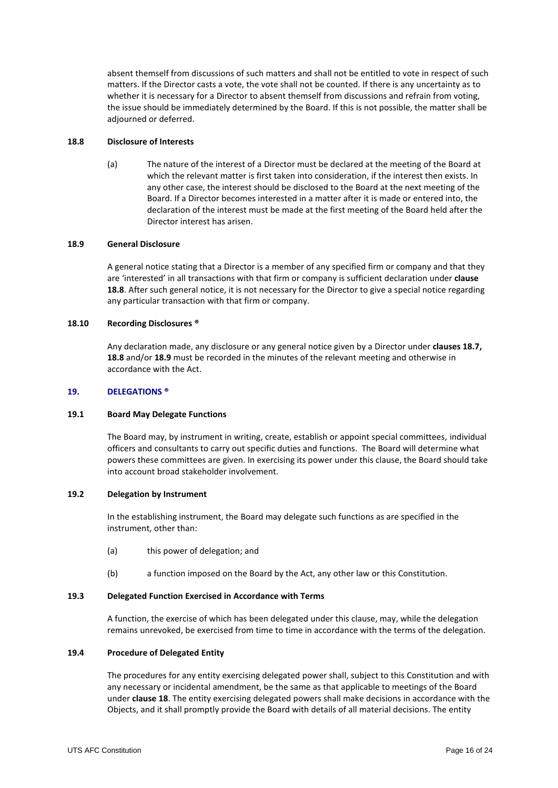absent themself from discussions of such matters and shall not be entitled to vote in respect of such matters. If the Director casts a vote, the vote shall not be counted. If there is any uncertainty as to whether it is necessary for a Director to absent themself from discussions and refrain from voting, the issue should be immediately determined by the Board. If this is not possible, the matter shall be adjourned or deferred.

#### <span id="page-15-0"></span>**18.8 Disclosure of Interests**

(a) The nature of the interest of a Director must be declared at the meeting of the Board at which the relevant matter is first taken into consideration, if the interest then exists. In any other case, the interest should be disclosed to the Board at the next meeting of the Board. If a Director becomes interested in a matter after it is made or entered into, the declaration of the interest must be made at the first meeting of the Board held after the Director interest has arisen.

## <span id="page-15-1"></span>**18.9 General Disclosure**

A general notice stating that a Director is a member of any specified firm or company and that they are 'interested' in all transactions with that firm or company is sufficient declaration under **clause [18.8](#page-15-0)**. After such general notice, it is not necessary for the Director to give a special notice regarding any particular transaction with that firm or company.

# **18.10 Recording Disclosures ®**

Any declaration made, any disclosure or any general notice given by a Director under **clauses 18.7, [18.8](#page-15-0)** and/or **[18.9](#page-15-1)** must be recorded in the minutes of the relevant meeting and otherwise in accordance with the Act.

## **19. DELEGATIONS ®**

#### **19.1 Board May Delegate Functions**

The Board may, by instrument in writing, create, establish or appoint special committees, individual officers and consultants to carry out specific duties and functions. The Board will determine what powers these committees are given. In exercising its power under this clause, the Board should take into account broad stakeholder involvement.

#### **19.2 Delegation by Instrument**

In the establishing instrument, the Board may delegate such functions as are specified in the instrument, other than:

- (a) this power of delegation; and
- (b) a function imposed on the Board by the Act, any other law or this Constitution.

#### **19.3 Delegated Function Exercised in Accordance with Terms**

A function, the exercise of which has been delegated under this clause, may, while the delegation remains unrevoked, be exercised from time to time in accordance with the terms of the delegation.

# **19.4 Procedure of Delegated Entity**

The procedures for any entity exercising delegated power shall, subject to this Constitution and with any necessary or incidental amendment, be the same as that applicable to meetings of the Board under **claus[e 18](#page-13-0)**. The entity exercising delegated powers shall make decisions in accordance with the Objects, and it shall promptly provide the Board with details of all material decisions. The entity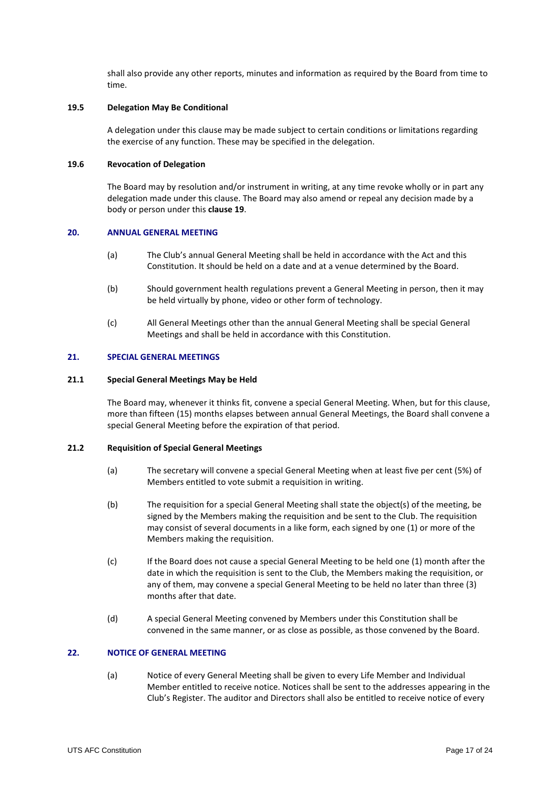shall also provide any other reports, minutes and information as required by the Board from time to time.

#### **19.5 Delegation May Be Conditional**

A delegation under this clause may be made subject to certain conditions or limitations regarding the exercise of any function. These may be specified in the delegation.

## **19.6 Revocation of Delegation**

The Board may by resolution and/or instrument in writing, at any time revoke wholly or in part any delegation made under this clause. The Board may also amend or repeal any decision made by a body or person under this **clause 19**.

## **20. ANNUAL GENERAL MEETING**

- (a) The Club's annual General Meeting shall be held in accordance with the Act and this Constitution. It should be held on a date and at a venue determined by the Board.
- (b) Should government health regulations prevent a General Meeting in person, then it may be held virtually by phone, video or other form of technology.
- (c) All General Meetings other than the annual General Meeting shall be special General Meetings and shall be held in accordance with this Constitution.

## **21. SPECIAL GENERAL MEETINGS**

#### **21.1 Special General Meetings May be Held**

The Board may, whenever it thinks fit, convene a special General Meeting. When, but for this clause, more than fifteen (15) months elapses between annual General Meetings, the Board shall convene a special General Meeting before the expiration of that period.

# **21.2 Requisition of Special General Meetings**

- (a) The secretary will convene a special General Meeting when at least five per cent (5%) of Members entitled to vote submit a requisition in writing.
- (b) The requisition for a special General Meeting shall state the object(s) of the meeting, be signed by the Members making the requisition and be sent to the Club. The requisition may consist of several documents in a like form, each signed by one (1) or more of the Members making the requisition.
- (c) If the Board does not cause a special General Meeting to be held one (1) month after the date in which the requisition is sent to the Club, the Members making the requisition, or any of them, may convene a special General Meeting to be held no later than three (3) months after that date.
- (d) A special General Meeting convened by Members under this Constitution shall be convened in the same manner, or as close as possible, as those convened by the Board.

# **22. NOTICE OF GENERAL MEETING**

(a) Notice of every General Meeting shall be given to every Life Member and Individual Member entitled to receive notice. Notices shall be sent to the addresses appearing in the Club's Register. The auditor and Directors shall also be entitled to receive notice of every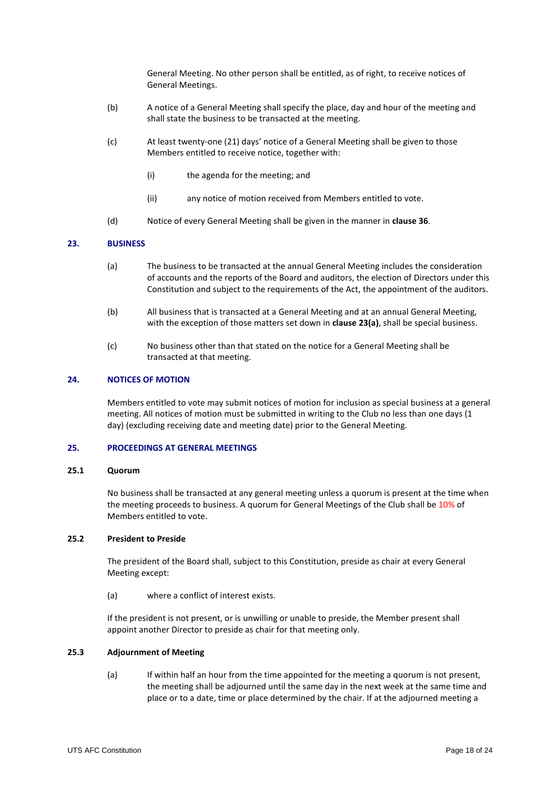General Meeting. No other person shall be entitled, as of right, to receive notices of General Meetings.

- (b) A notice of a General Meeting shall specify the place, day and hour of the meeting and shall state the business to be transacted at the meeting.
- (c) At least twenty-one (21) days' notice of a General Meeting shall be given to those Members entitled to receive notice, together with:
	- (i) the agenda for the meeting; and
	- (ii) any notice of motion received from Members entitled to vote.
- (d) Notice of every General Meeting shall be given in the manner in **clause [36](#page-22-0)**.

#### <span id="page-17-1"></span><span id="page-17-0"></span>**23. BUSINESS**

- (a) The business to be transacted at the annual General Meeting includes the consideration of accounts and the reports of the Board and auditors, the election of Directors under this Constitution and subject to the requirements of the Act, the appointment of the auditors.
- (b) All business that is transacted at a General Meeting and at an annual General Meeting, with the exception of those matters set down in **clause [23](#page-17-0)[\(a\)](#page-17-1)**, shall be special business.
- (c) No business other than that stated on the notice for a General Meeting shall be transacted at that meeting.

#### **24. NOTICES OF MOTION**

Members entitled to vote may submit notices of motion for inclusion as special business at a general meeting. All notices of motion must be submitted in writing to the Club no less than one days (1 day) (excluding receiving date and meeting date) prior to the General Meeting.

# **25. PROCEEDINGS AT GENERAL MEETINGS**

#### **25.1 Quorum**

No business shall be transacted at any general meeting unless a quorum is present at the time when the meeting proceeds to business. A quorum for General Meetings of the Club shall be 10% of Members entitled to vote.

## **25.2 President to Preside**

The president of the Board shall, subject to this Constitution, preside as chair at every General Meeting except:

(a) where a conflict of interest exists.

If the president is not present, or is unwilling or unable to preside, the Member present shall appoint another Director to preside as chair for that meeting only.

# <span id="page-17-2"></span>**25.3 Adjournment of Meeting**

(a) If within half an hour from the time appointed for the meeting a quorum is not present, the meeting shall be adjourned until the same day in the next week at the same time and place or to a date, time or place determined by the chair. If at the adjourned meeting a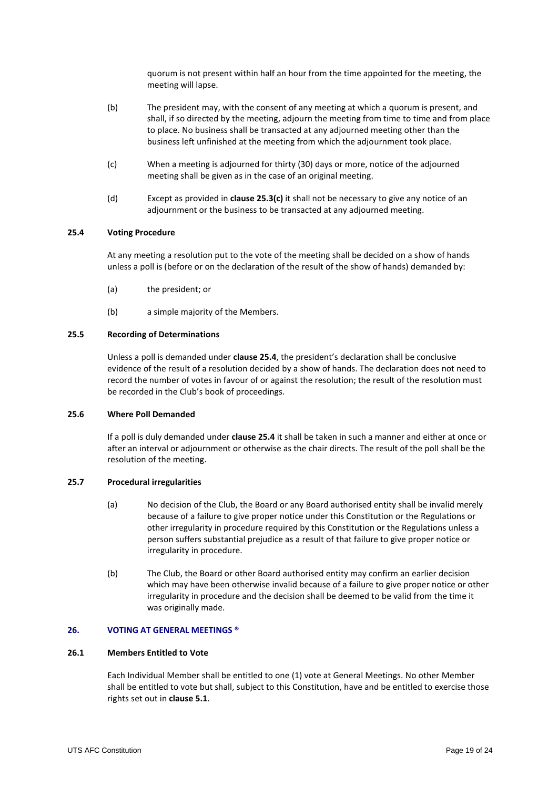quorum is not present within half an hour from the time appointed for the meeting, the meeting will lapse.

- (b) The president may, with the consent of any meeting at which a quorum is present, and shall, if so directed by the meeting, adjourn the meeting from time to time and from place to place. No business shall be transacted at any adjourned meeting other than the business left unfinished at the meeting from which the adjournment took place.
- <span id="page-18-0"></span>(c) When a meeting is adjourned for thirty (30) days or more, notice of the adjourned meeting shall be given as in the case of an original meeting.
- (d) Except as provided in **clause [25.3](#page-17-2)[\(c\)](#page-18-0)** it shall not be necessary to give any notice of an adjournment or the business to be transacted at any adjourned meeting.

# <span id="page-18-1"></span>**25.4 Voting Procedure**

At any meeting a resolution put to the vote of the meeting shall be decided on a show of hands unless a poll is (before or on the declaration of the result of the show of hands) demanded by:

- (a) the president; or
- (b) a simple majority of the Members.

# **25.5 Recording of Determinations**

Unless a poll is demanded under **clause [25.4](#page-18-1)**, the president's declaration shall be conclusive evidence of the result of a resolution decided by a show of hands. The declaration does not need to record the number of votes in favour of or against the resolution; the result of the resolution must be recorded in the Club's book of proceedings.

## **25.6 Where Poll Demanded**

If a poll is duly demanded under **claus[e 25.4](#page-18-1)** it shall be taken in such a manner and either at once or after an interval or adjournment or otherwise as the chair directs. The result of the poll shall be the resolution of the meeting.

## **25.7 Procedural irregularities**

- (a) No decision of the Club, the Board or any Board authorised entity shall be invalid merely because of a failure to give proper notice under this Constitution or the Regulations or other irregularity in procedure required by this Constitution or the Regulations unless a person suffers substantial prejudice as a result of that failure to give proper notice or irregularity in procedure.
- (b) The Club, the Board or other Board authorised entity may confirm an earlier decision which may have been otherwise invalid because of a failure to give proper notice or other irregularity in procedure and the decision shall be deemed to be valid from the time it was originally made.

## **26. VOTING AT GENERAL MEETINGS ®**

# **26.1 Members Entitled to Vote**

Each Individual Member shall be entitled to one (1) vote at General Meetings. No other Member shall be entitled to vote but shall, subject to this Constitution, have and be entitled to exercise those rights set out in **claus[e 5.1](#page-6-2)**.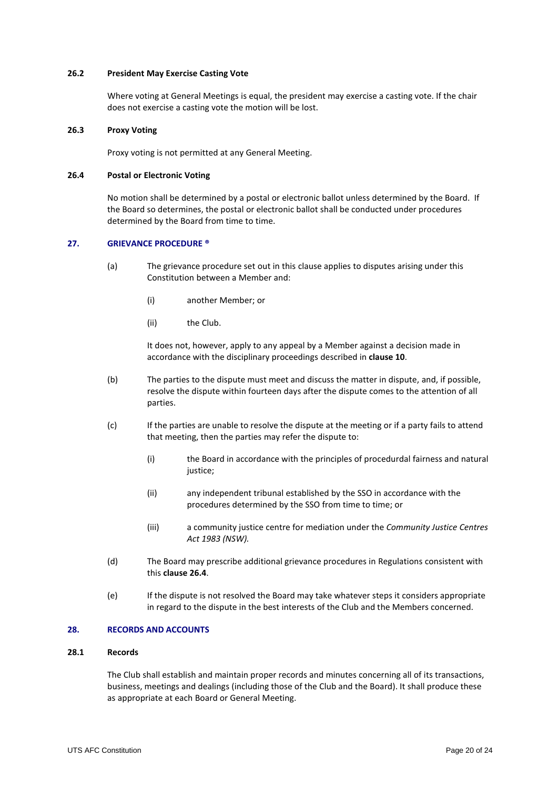## **26.2 President May Exercise Casting Vote**

Where voting at General Meetings is equal, the president may exercise a casting vote. If the chair does not exercise a casting vote the motion will be lost.

## **26.3 Proxy Voting**

Proxy voting is not permitted at any General Meeting.

## <span id="page-19-0"></span>**26.4 Postal or Electronic Voting**

No motion shall be determined by a postal or electronic ballot unless determined by the Board. If the Board so determines, the postal or electronic ballot shall be conducted under procedures determined by the Board from time to time.

## **27. GRIEVANCE PROCEDURE ®**

- (a) The grievance procedure set out in this clause applies to disputes arising under this Constitution between a Member and:
	- (i) another Member; or
	- (ii) the Club.

It does not, however, apply to any appeal by a Member against a decision made in accordance with the disciplinary proceedings described in **clause 10**.

- (b) The parties to the dispute must meet and discuss the matter in dispute, and, if possible, resolve the dispute within fourteen days after the dispute comes to the attention of all parties.
- (c) If the parties are unable to resolve the dispute at the meeting or if a party fails to attend that meeting, then the parties may refer the dispute to:
	- (i) the Board in accordance with the principles of procedurdal fairness and natural justice;
	- (ii) any independent tribunal established by the SSO in accordance with the procedures determined by the SSO from time to time; or
	- (iii) a community justice centre for mediation under the *Community Justice Centres Act 1983 (NSW).*
- (d) The Board may prescribe additional grievance procedures in Regulations consistent with this **claus[e 26.4](#page-19-0)**.
- (e) If the dispute is not resolved the Board may take whatever steps it considers appropriate in regard to the dispute in the best interests of the Club and the Members concerned.

# **28. RECORDS AND ACCOUNTS**

# **28.1 Records**

The Club shall establish and maintain proper records and minutes concerning all of its transactions, business, meetings and dealings (including those of the Club and the Board). It shall produce these as appropriate at each Board or General Meeting.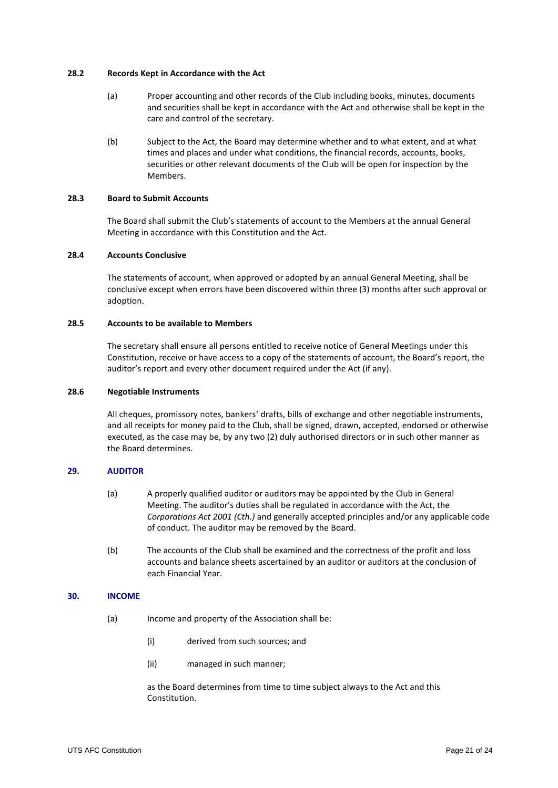## **28.2 Records Kept in Accordance with the Act**

- (a) Proper accounting and other records of the Club including books, minutes, documents and securities shall be kept in accordance with the Act and otherwise shall be kept in the care and control of the secretary.
- (b) Subject to the Act, the Board may determine whether and to what extent, and at what times and places and under what conditions, the financial records, accounts, books, securities or other relevant documents of the Club will be open for inspection by the Members.

# **28.3 Board to Submit Accounts**

The Board shall submit the Club's statements of account to the Members at the annual General Meeting in accordance with this Constitution and the Act.

# **28.4 Accounts Conclusive**

The statements of account, when approved or adopted by an annual General Meeting, shall be conclusive except when errors have been discovered within three (3) months after such approval or adoption.

# **28.5 Accounts to be available to Members**

The secretary shall ensure all persons entitled to receive notice of General Meetings under this Constitution, receive or have access to a copy of the statements of account, the Board's report, the auditor's report and every other document required under the Act (if any).

## **28.6 Negotiable Instruments**

All cheques, promissory notes, bankers' drafts, bills of exchange and other negotiable instruments, and all receipts for money paid to the Club, shall be signed, drawn, accepted, endorsed or otherwise executed, as the case may be, by any two (2) duly authorised directors or in such other manner as the Board determines.

# **29. AUDITOR**

- (a) A properly qualified auditor or auditors may be appointed by the Club in General Meeting. The auditor's duties shall be regulated in accordance with the Act, the *Corporations Act 2001 (Cth.)* and generally accepted principles and/or any applicable code of conduct. The auditor may be removed by the Board.
- (b) The accounts of the Club shall be examined and the correctness of the profit and loss accounts and balance sheets ascertained by an auditor or auditors at the conclusion of each Financial Year.

#### **30. INCOME**

- (a) Income and property of the Association shall be:
	- (i) derived from such sources; and
	- (ii) managed in such manner;

as the Board determines from time to time subject always to the Act and this Constitution.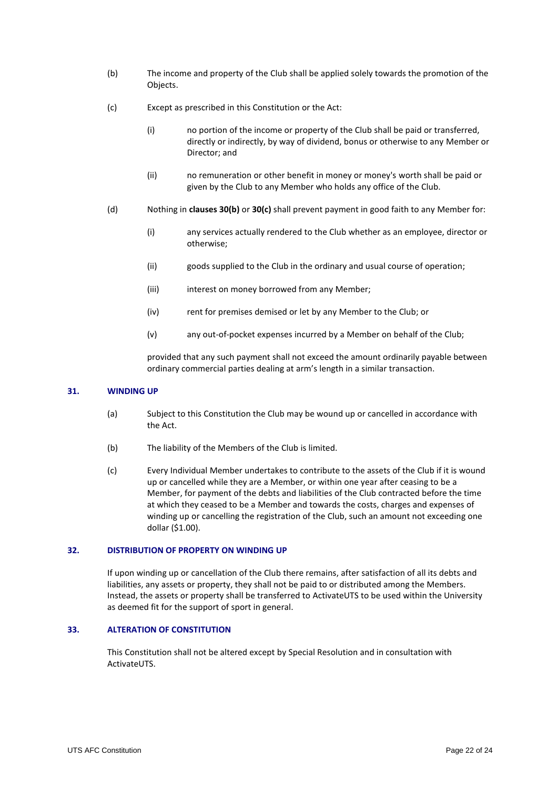- (b) The income and property of the Club shall be applied solely towards the promotion of the Objects.
- (c) Except as prescribed in this Constitution or the Act:
	- (i) no portion of the income or property of the Club shall be paid or transferred, directly or indirectly, by way of dividend, bonus or otherwise to any Member or Director; and
	- (ii) no remuneration or other benefit in money or money's worth shall be paid or given by the Club to any Member who holds any office of the Club.
- (d) Nothing in **clauses 30(b)** or **30(c)** shall prevent payment in good faith to any Member for:
	- (i) any services actually rendered to the Club whether as an employee, director or otherwise;
	- (ii) goods supplied to the Club in the ordinary and usual course of operation;
	- (iii) interest on money borrowed from any Member;
	- (iv) rent for premises demised or let by any Member to the Club; or
	- (v) any out-of-pocket expenses incurred by a Member on behalf of the Club;

provided that any such payment shall not exceed the amount ordinarily payable between ordinary commercial parties dealing at arm's length in a similar transaction.

#### **31. WINDING UP**

- (a) Subject to this Constitution the Club may be wound up or cancelled in accordance with the Act.
- (b) The liability of the Members of the Club is limited.
- (c) Every Individual Member undertakes to contribute to the assets of the Club if it is wound up or cancelled while they are a Member, or within one year after ceasing to be a Member, for payment of the debts and liabilities of the Club contracted before the time at which they ceased to be a Member and towards the costs, charges and expenses of winding up or cancelling the registration of the Club, such an amount not exceeding one dollar (\$1.00).

## **32. DISTRIBUTION OF PROPERTY ON WINDING UP**

If upon winding up or cancellation of the Club there remains, after satisfaction of all its debts and liabilities, any assets or property, they shall not be paid to or distributed among the Members. Instead, the assets or property shall be transferred to ActivateUTS to be used within the University as deemed fit for the support of sport in general.

# **33. ALTERATION OF CONSTITUTION**

This Constitution shall not be altered except by Special Resolution and in consultation with ActivateUTS.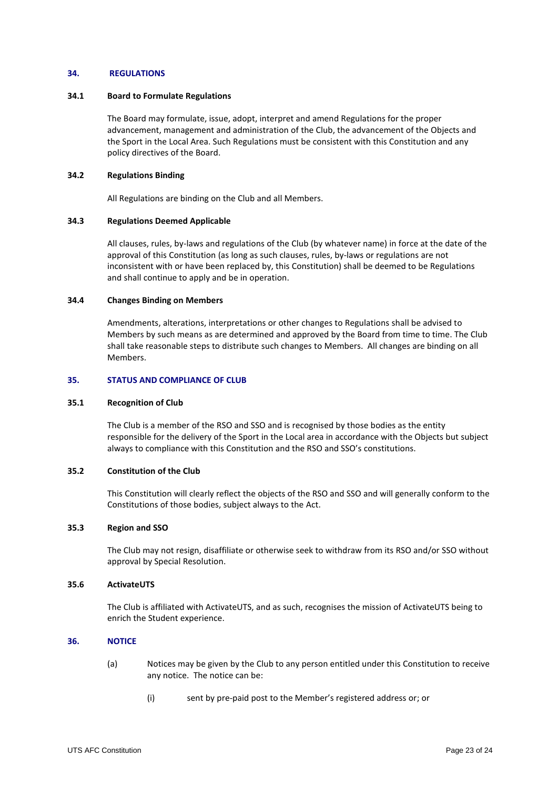#### **34. REGULATIONS**

#### **34.1 Board to Formulate Regulations**

The Board may formulate, issue, adopt, interpret and amend Regulations for the proper advancement, management and administration of the Club, the advancement of the Objects and the Sport in the Local Area. Such Regulations must be consistent with this Constitution and any policy directives of the Board.

# **34.2 Regulations Binding**

All Regulations are binding on the Club and all Members.

## **34.3 Regulations Deemed Applicable**

All clauses, rules, by-laws and regulations of the Club (by whatever name) in force at the date of the approval of this Constitution (as long as such clauses, rules, by-laws or regulations are not inconsistent with or have been replaced by, this Constitution) shall be deemed to be Regulations and shall continue to apply and be in operation.

## **34.4 Changes Binding on Members**

Amendments, alterations, interpretations or other changes to Regulations shall be advised to Members by such means as are determined and approved by the Board from time to time. The Club shall take reasonable steps to distribute such changes to Members. All changes are binding on all Members.

## **35. STATUS AND COMPLIANCE OF CLUB**

#### **35.1 Recognition of Club**

The Club is a member of the RSO and SSO and is recognised by those bodies as the entity responsible for the delivery of the Sport in the Local area in accordance with the Objects but subject always to compliance with this Constitution and the RSO and SSO's constitutions.

# **35.2 Constitution of the Club**

This Constitution will clearly reflect the objects of the RSO and SSO and will generally conform to the Constitutions of those bodies, subject always to the Act.

#### **35.3 Region and SSO**

The Club may not resign, disaffiliate or otherwise seek to withdraw from its RSO and/or SSO without approval by Special Resolution.

# **35.6 ActivateUTS**

The Club is affiliated with ActivateUTS, and as such, recognises the mission of ActivateUTS being to enrich the Student experience.

# <span id="page-22-0"></span>**36. NOTICE**

- (a) Notices may be given by the Club to any person entitled under this Constitution to receive any notice. The notice can be:
	- (i) sent by pre-paid post to the Member's registered address or; or